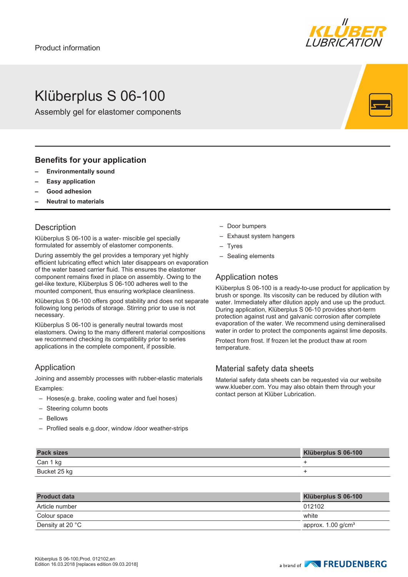

# Klüberplus S 06-100

Assembly gel for elastomer components

### **Benefits for your application**

- **– Environmentally sound**
- **– Easy application**
- **– Good adhesion**
- **– Neutral to materials**

### **Description**

Klüberplus S 06-100 is a water- miscible gel specially formulated for assembly of elastomer components.

During assembly the gel provides a temporary yet highly efficient lubricating effect which later disappears on evaporation of the water based carrier fluid. This ensures the elastomer component remains fixed in place on assembly. Owing to the gel-like texture, Klüberplus S 06-100 adheres well to the mounted component, thus ensuring workplace cleanliness.

Klüberplus S 06-100 offers good stability and does not separate following long periods of storage. Stirring prior to use is not necessary.

Klüberplus S 06-100 is generally neutral towards most elastomers. Owing to the many different material compositions we recommend checking its compatibility prior to series applications in the complete component, if possible.

## Application

Joining and assembly processes with rubber-elastic materials Examples:

- Hoses(e.g. brake, cooling water and fuel hoses)
- Steering column boots
- Bellows
- Profiled seals e.g.door, window /door weather-strips
- Door bumpers
- Exhaust system hangers
- Tyres
- Sealing elements

### Application notes

Klüberplus S 06-100 is a ready-to-use product for application by brush or sponge. Its viscosity can be reduced by dilution with water. Immediately after dilution apply and use up the product. During application, Klüberplus S 06-10 provides short-term protection against rust and galvanic corrosion after complete evaporation of the water. We recommend using demineralised water in order to protect the components against lime deposits.

Protect from frost. If frozen let the product thaw at room temperature.

## Material safety data sheets

Material safety data sheets can be requested via our website www.klueber.com. You may also obtain them through your contact person at Klüber Lubrication.

| Can 1 kg     |  |
|--------------|--|
| Bucket 25 kg |  |

| <b>Product data</b> | Klüberplus S 06-100              |
|---------------------|----------------------------------|
| Article number      | 012102                           |
| Colour space        | white                            |
| Density at 20 °C    | approx. $1.00$ g/cm <sup>3</sup> |